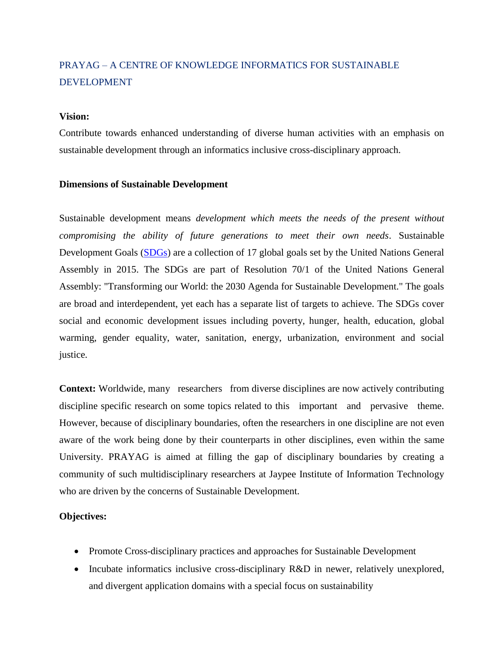# PRAYAG – A CENTRE OF KNOWLEDGE INFORMATICS FOR SUSTAINABLE DEVELOPMENT

### **Vision:**

Contribute towards enhanced understanding of diverse human activities with an emphasis on sustainable development through an informatics inclusive cross-disciplinary approach.

#### **Dimensions of Sustainable Development**

Sustainable development means *development which meets the needs of the present without compromising the ability of future generations to meet their own needs*. Sustainable Development Goals [\(SDGs\)](http://www.un.org/en/development/desa/population/migration/generalassembly/docs/globalcompact/A_RES_70_1_E.pdf) are a collection of 17 global goals set by the United Nations General Assembly in 2015. The SDGs are part of Resolution 70/1 of the United Nations General Assembly: "Transforming our World: the 2030 Agenda for Sustainable Development." The goals are broad and interdependent, yet each has a separate list of targets to achieve. The SDGs cover social and economic development issues including poverty, hunger, health, education, global warming, gender equality, water, sanitation, energy, urbanization, environment and social justice.

**Context:** Worldwide, many researchers from diverse disciplines are now actively contributing discipline specific research on some topics related to this important and pervasive theme. However, because of disciplinary boundaries, often the researchers in one discipline are not even aware of the work being done by their counterparts in other disciplines, even within the same University. PRAYAG is aimed at filling the gap of disciplinary boundaries by creating a community of such multidisciplinary researchers at Jaypee Institute of Information Technology who are driven by the concerns of Sustainable Development.

## **Objectives:**

- Promote Cross-disciplinary practices and approaches for Sustainable Development
- Incubate informatics inclusive cross-disciplinary R&D in newer, relatively unexplored, and divergent application domains with a special focus on sustainability